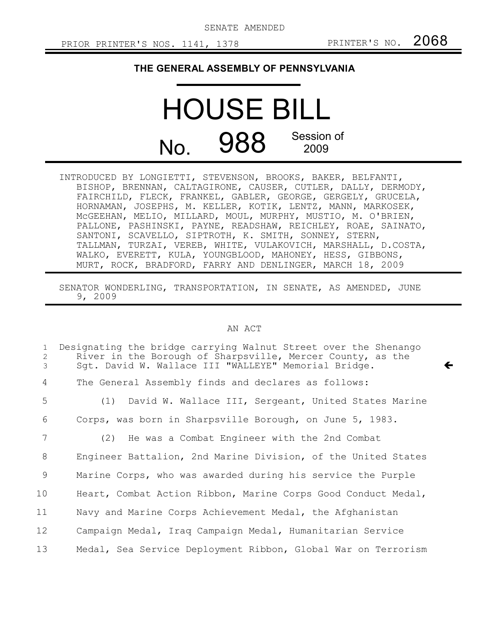SENATE AMENDED

 $\leftarrow$ 

## **THE GENERAL ASSEMBLY OF PENNSYLVANIA**

## HOUSE BILL No. 988 Session of 2009

| INTRODUCED BY LONGIETTI, STEVENSON, BROOKS, BAKER, BELFANTI,  |
|---------------------------------------------------------------|
| BISHOP, BRENNAN, CALTAGIRONE, CAUSER, CUTLER, DALLY, DERMODY, |
| FAIRCHILD, FLECK, FRANKEL, GABLER, GEORGE, GERGELY, GRUCELA,  |
| HORNAMAN, JOSEPHS, M. KELLER, KOTIK, LENTZ, MANN, MARKOSEK,   |
| MCGEEHAN, MELIO, MILLARD, MOUL, MURPHY, MUSTIO, M. O'BRIEN,   |
| PALLONE, PASHINSKI, PAYNE, READSHAW, REICHLEY, ROAE, SAINATO, |
| SANTONI, SCAVELLO, SIPTROTH, K. SMITH, SONNEY, STERN,         |
| TALLMAN, TURZAI, VEREB, WHITE, VULAKOVICH, MARSHALL, D.COSTA, |
| WALKO, EVERETT, KULA, YOUNGBLOOD, MAHONEY, HESS, GIBBONS,     |
| MURT, ROCK, BRADFORD, FARRY AND DENLINGER, MARCH 18, 2009     |

SENATOR WONDERLING, TRANSPORTATION, IN SENATE, AS AMENDED, JUNE 9, 2009

## AN ACT

| $\mathbf{1}$<br>2<br>3 | Designating the bridge carrying Walnut Street over the Shenango<br>River in the Borough of Sharpsville, Mercer County, as the<br>Sgt. David W. Wallace III "WALLEYE" Memorial Bridge. |
|------------------------|---------------------------------------------------------------------------------------------------------------------------------------------------------------------------------------|
| $\overline{4}$         | The General Assembly finds and declares as follows:                                                                                                                                   |
| 5                      | (1) David W. Wallace III, Sergeant, United States Marine                                                                                                                              |
| 6                      | Corps, was born in Sharpsville Borough, on June 5, 1983.                                                                                                                              |
| 7                      | (2) He was a Combat Engineer with the 2nd Combat                                                                                                                                      |
| 8                      | Engineer Battalion, 2nd Marine Division, of the United States                                                                                                                         |
| 9                      | Marine Corps, who was awarded during his service the Purple                                                                                                                           |
| 10 <sub>o</sub>        | Heart, Combat Action Ribbon, Marine Corps Good Conduct Medal,                                                                                                                         |
| 11                     | Navy and Marine Corps Achievement Medal, the Afghanistan                                                                                                                              |
| 12                     | Campaign Medal, Iraq Campaign Medal, Humanitarian Service                                                                                                                             |
| 13                     | Medal, Sea Service Deployment Ribbon, Global War on Terrorism                                                                                                                         |